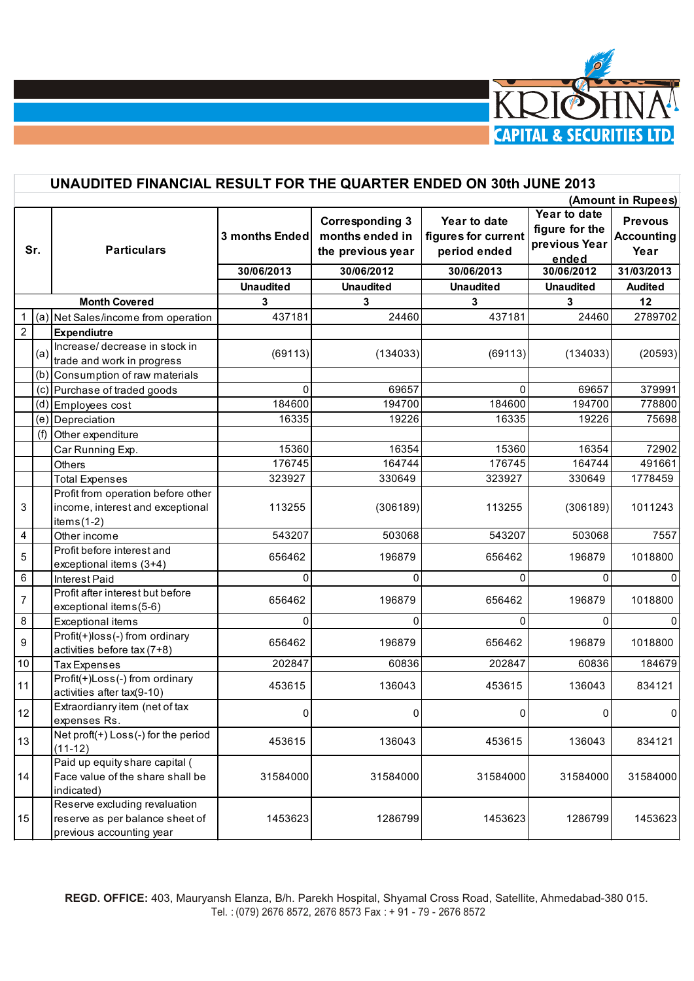

|                | UNAUDITED FINANCIAL RESULT FOR THE QUARTER ENDED ON 30th JUNE 2013 |                                                                                              |                  |                                                                |                                                     |                                                          |                                             |
|----------------|--------------------------------------------------------------------|----------------------------------------------------------------------------------------------|------------------|----------------------------------------------------------------|-----------------------------------------------------|----------------------------------------------------------|---------------------------------------------|
|                | (Amount in Rupees)                                                 |                                                                                              |                  |                                                                |                                                     |                                                          |                                             |
| Sr.            |                                                                    | <b>Particulars</b>                                                                           | 3 months Ended   | <b>Corresponding 3</b><br>months ended in<br>the previous year | Year to date<br>figures for current<br>period ended | Year to date<br>figure for the<br>previous Year<br>ended | <b>Prevous</b><br><b>Accounting</b><br>Year |
|                |                                                                    |                                                                                              | 30/06/2013       | 30/06/2012                                                     | 30/06/2013                                          | 30/06/2012                                               | 31/03/2013                                  |
|                |                                                                    |                                                                                              | <b>Unaudited</b> | <b>Unaudited</b>                                               | <b>Unaudited</b>                                    | <b>Unaudited</b>                                         | <b>Audited</b>                              |
|                |                                                                    | <b>Month Covered</b>                                                                         | 3                | 3                                                              | 3                                                   | 3                                                        | 12                                          |
| $\mathbf 1$    |                                                                    | (a) Net Sales/income from operation                                                          | 437181           | 24460                                                          | 437181                                              | 24460                                                    | 2789702                                     |
| $\overline{2}$ |                                                                    | <b>Expendiutre</b>                                                                           |                  |                                                                |                                                     |                                                          |                                             |
|                | (a)                                                                | Increase/ decrease in stock in<br>trade and work in progress                                 | (69113)          | (134033)                                                       | (69113)                                             | (134033)                                                 | (20593)                                     |
|                |                                                                    | (b) Consumption of raw materials                                                             |                  |                                                                |                                                     |                                                          |                                             |
|                |                                                                    | (c) Purchase of traded goods                                                                 | $\Omega$         | 69657                                                          | 0                                                   | 69657                                                    | 379991                                      |
|                |                                                                    | (d) Employees cost                                                                           | 184600           | 194700                                                         | 184600                                              | 194700                                                   | 778800                                      |
|                |                                                                    | (e) Depreciation                                                                             | 16335            | 19226                                                          | 16335                                               | 19226                                                    | 75698                                       |
|                |                                                                    | (f) Other expenditure                                                                        |                  |                                                                |                                                     |                                                          |                                             |
|                |                                                                    | Car Running Exp.                                                                             | 15360            | 16354                                                          | 15360                                               | 16354                                                    | 72902                                       |
|                |                                                                    | Others                                                                                       | 176745           | 164744                                                         | 176745                                              | 164744                                                   | 491661                                      |
|                |                                                                    | <b>Total Expenses</b>                                                                        | 323927           | 330649                                                         | 323927                                              | 330649                                                   | 1778459                                     |
| 3              |                                                                    | Profit from operation before other<br>income, interest and exceptional<br>items $(1-2)$      | 113255           | (306189)                                                       | 113255                                              | (306189)                                                 | 1011243                                     |
| 4              |                                                                    | Other income                                                                                 | 543207           | 503068                                                         | 543207                                              | 503068                                                   | 7557                                        |
| 5              |                                                                    | Profit before interest and<br>exceptional items (3+4)                                        | 656462           | 196879                                                         | 656462                                              | 196879                                                   | 1018800                                     |
| 6              |                                                                    | <b>Interest Paid</b>                                                                         | $\Omega$         | 0                                                              | 0                                                   | 0                                                        | 0                                           |
| 7              |                                                                    | Profit after interest but before<br>exceptional items(5-6)                                   | 656462           | 196879                                                         | 656462                                              | 196879                                                   | 1018800                                     |
| $\bf 8$        |                                                                    | Exceptional items                                                                            | $\Omega$         | $\Omega$                                                       | 0                                                   | $\Omega$                                                 | 0                                           |
| 9              |                                                                    | Profit(+)loss(-) from ordinary<br>activities before tax (7+8)                                | 656462           | 196879                                                         | 656462                                              | 196879                                                   | 1018800                                     |
| 10             |                                                                    | <b>Tax Expenses</b>                                                                          | 202847           | 60836                                                          | 202847                                              | 60836                                                    | 184679                                      |
| 11             |                                                                    | Profit(+)Loss(-) from ordinary<br>activities after tax(9-10)                                 | 453615           | 136043                                                         | 453615                                              | 136043                                                   | 834121                                      |
| 12             |                                                                    | Extraordianry item (net of tax<br>expenses Rs.                                               | 0                | 0                                                              | $\overline{0}$                                      | 0                                                        | $\pmb{0}$                                   |
| 13             |                                                                    | Net proft(+) Loss(-) for the period<br>$(11-12)$                                             | 453615           | 136043                                                         | 453615                                              | 136043                                                   | 834121                                      |
| 14             |                                                                    | Paid up equity share capital (<br>Face value of the share shall be<br>indicated)             | 31584000         | 31584000                                                       | 31584000                                            | 31584000                                                 | 31584000                                    |
| 15             |                                                                    | Reserve excluding revaluation<br>reserve as per balance sheet of<br>previous accounting year | 1453623          | 1286799                                                        | 1453623                                             | 1286799                                                  | 1453623                                     |
|                |                                                                    |                                                                                              |                  |                                                                |                                                     |                                                          |                                             |

**REGD. OFFICE:** 403, Mauryansh Elanza, B/h. Parekh Hospital, Shyamal Cross Road, Satellite, Ahmedabad-380 015. Tel. : (079) 2676 8572, 2676 8573 Fax : + 91 - 79 - 2676 8572